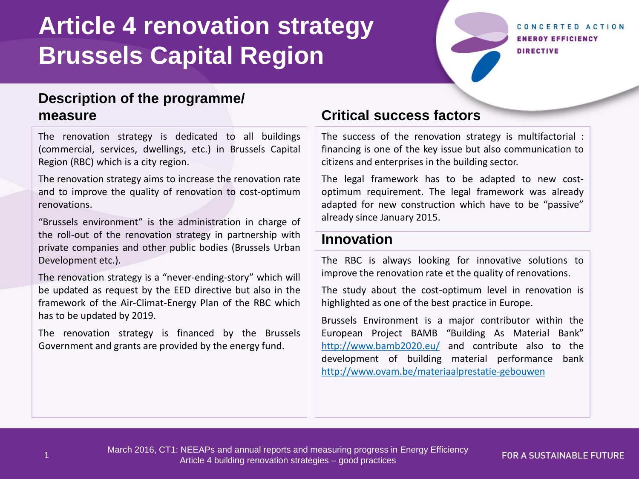# **Article 4 renovation strategy Brussels Capital Region**

#### CONCERTED ACTION **ENERGY EFFICIENCY DIRECTIVE**

## **Description of the programme/ measure**

The renovation strategy is dedicated to all buildings (commercial, services, dwellings, etc.) in Brussels Capital Region (RBC) which is a city region.

The renovation strategy aims to increase the renovation rate and to improve the quality of renovation to cost-optimum renovations.

"Brussels environment" is the administration in charge of the roll-out of the renovation strategy in partnership with private companies and other public bodies (Brussels Urban Development etc.).

The renovation strategy is a "never-ending-story" which will be updated as request by the EED directive but also in the framework of the Air-Climat-Energy Plan of the RBC which has to be updated by 2019.

The renovation strategy is financed by the Brussels Government and grants are provided by the energy fund.

## **Critical success factors**

The success of the renovation strategy is multifactorial : financing is one of the key issue but also communication to citizens and enterprises in the building sector.

The legal framework has to be adapted to new costoptimum requirement. The legal framework was already adapted for new construction which have to be "passive" already since January 2015.

## **Innovation**

The RBC is always looking for innovative solutions to improve the renovation rate et the quality of renovations.

The study about the cost-optimum level in renovation is highlighted as one of the best practice in Europe.

Brussels Environment is a major contributor within the European Project BAMB "Building As Material Bank" <http://www.bamb2020.eu/> and contribute also to the development of building material performance bank <http://www.ovam.be/materiaalprestatie-gebouwen>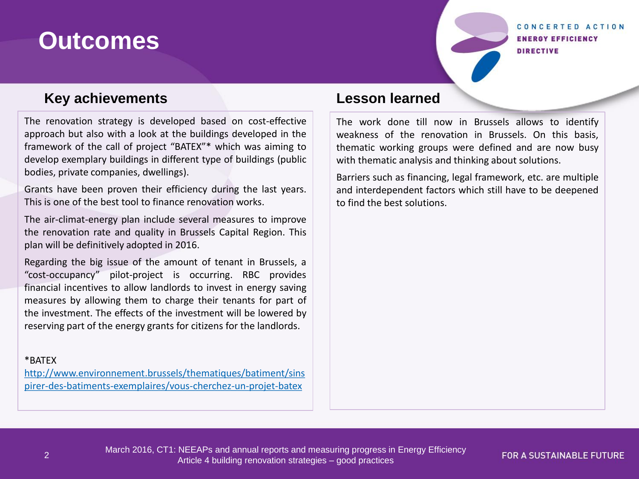## **Outcomes**

#### CONCERTED ACTION **ENERGY EFFICIENCY DIRECTIVE**

## **Key achievements**

The renovation strategy is developed based on cost-effective approach but also with a look at the buildings developed in the framework of the call of project "BATEX"\* which was aiming to develop exemplary buildings in different type of buildings (public bodies, private companies, dwellings).

Grants have been proven their efficiency during the last years. This is one of the best tool to finance renovation works.

The air-climat-energy plan include several measures to improve the renovation rate and quality in Brussels Capital Region. This plan will be definitively adopted in 2016.

Regarding the big issue of the amount of tenant in Brussels, a "cost-occupancy" pilot-project is occurring. RBC provides financial incentives to allow landlords to invest in energy saving measures by allowing them to charge their tenants for part of the investment. The effects of the investment will be lowered by reserving part of the energy grants for citizens for the landlords.

#### \*BATEX

[http://www.environnement.brussels/thematiques/batiment/sins](http://www.environnement.brussels/thematiques/batiment/sinspirer-des-batiments-exemplaires/vous-cherchez-un-projet-batex) [pirer-des-batiments-exemplaires/vous-cherchez-un-projet-batex](http://www.environnement.brussels/thematiques/batiment/sinspirer-des-batiments-exemplaires/vous-cherchez-un-projet-batex)

## **Lesson learned**

The work done till now in Brussels allows to identify weakness of the renovation in Brussels. On this basis, thematic working groups were defined and are now busy with thematic analysis and thinking about solutions.

Barriers such as financing, legal framework, etc. are multiple and interdependent factors which still have to be deepened to find the best solutions.